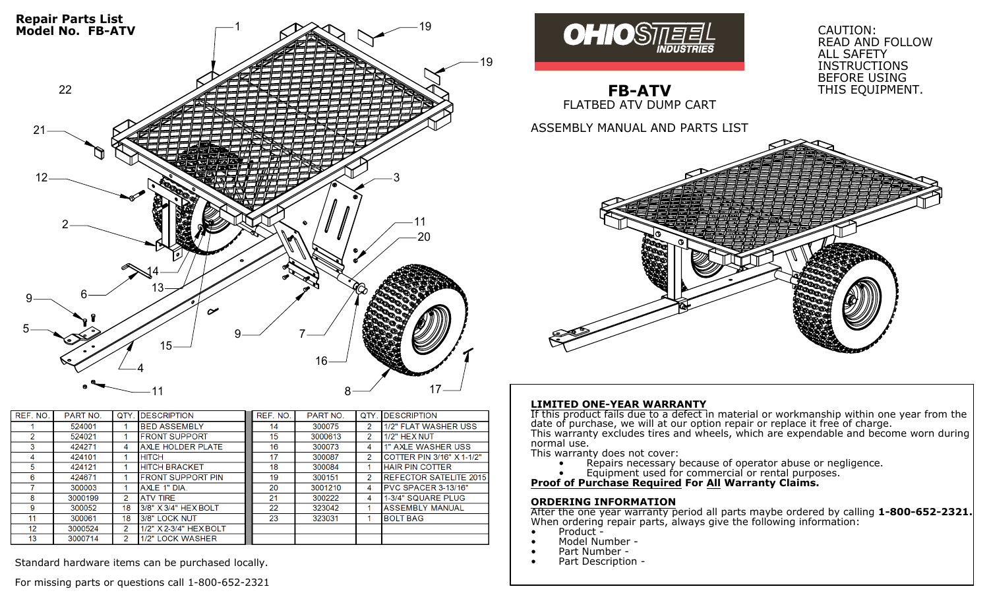

| REF. NO. | PART NO. | <b>QTY</b>     | <b>IDESCRIPTION</b>       | REF. NO. | PART NO. | QTY | <b>IDESCRIPTION</b>            |
|----------|----------|----------------|---------------------------|----------|----------|-----|--------------------------------|
|          | 524001   |                | <b>BED ASSEMBLY</b>       | 14       | 300075   | 2   | 1/2" FLAT WASHER USS           |
|          | 524021   |                | <b>IFRONT SUPPORT</b>     | 15       | 3000613  | 2   | 1/2" HEX NUT                   |
|          | 424271   | 4              | <b>AXLE HOLDER PLATE</b>  | 16       | 300073   | 4   | 1" AXLE WASHER USS             |
| 4        | 424101   |                | <b>HITCH</b>              | 17       | 300087   | 2   | COTTER PIN 3/16" X 1-1/2"      |
| 5        | 424121   |                | <b>HITCH BRACKET</b>      | 18       | 300084   |     | <b>HAIR PIN COTTER</b>         |
| 6        | 424671   |                | <b>IFRONT SUPPORT PIN</b> | 19       | 300151   | 2   | <b>IREFECTOR SATELITE 2015</b> |
|          | 300003   |                | AXLE 1" DIA               | 20       | 3001210  | 4   | <b>IPVC SPACER 3-13/16"</b>    |
| 8        | 3000199  | $\overline{2}$ | <b>ATV TIRE</b>           | 21       | 300222   | 4   | 1-3/4" SQUARE PLUG             |
| 9        | 300052   | 18             | $13/8"$ X $3/4"$ HEX BOLT | 22       | 323042   |     | <b>ASSEMBLY MANUAL</b>         |
| 11       | 300061   | 18             | 3/8" LOCK NUT             | 23       | 323031   |     | <b>IBOLT BAG</b>               |
| 12       | 3000524  | $\overline{2}$ | 1/2" X 2-3/4" HEX BOLT    |          |          |     |                                |
| 13       | 3000714  | $\mathbf{2}$   | 1/2" LOCK WASHER          |          |          |     |                                |

Standard hardware items can be purchased locally.

For missing parts or questions call 1-800-652-2321



**FB-ATV** FLATBED ATV DUMP CART

ASSEMBLY MANUAL AND PARTS LIST



READ AND FOLLOW

ALL SAFETY INSTRUCTIONS BEFORE USING THIS EQUIPMENT.

#### **LIMITED ONE-YEAR WARRANTY**

If this product fails due to a defect in material or workmanship within one year from the date of purchase, we will at our option repair or replace it free of charge. This warranty excludes tires and wheels, which are expendable and become worn during normal use.

This warranty does not cover:

- Repairs necessary because of operator abuse or negligence.
- Equipment used for commercial or rental purposes.

**Proof of Purchase Required For All Warranty Claims.**

#### **ORDERING INFORMATION**

After the one year warranty period all parts maybe ordered by calling **1-800-652-2321.** When ordering repair parts, always give the following information:

- 
- 
- 
- Product -<br>• Model Number -<br>• Part Description -